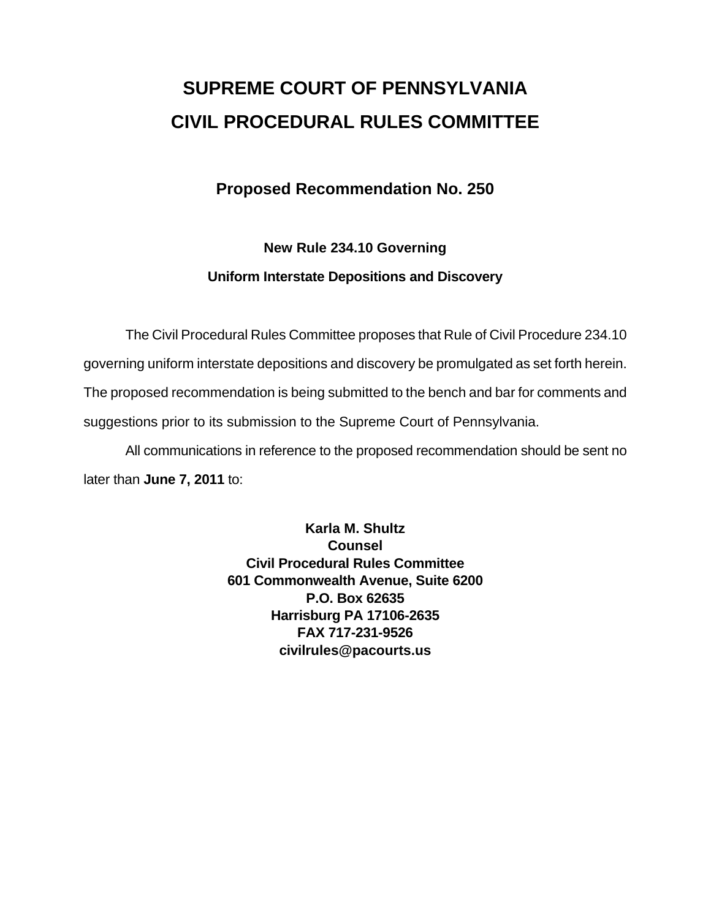# **SUPREME COURT OF PENNSYLVANIA CIVIL PROCEDURAL RULES COMMITTEE**

## **Proposed Recommendation No. 250**

## **New Rule 234.10 Governing Uniform Interstate Depositions and Discovery**

 The Civil Procedural Rules Committee proposes that Rule of Civil Procedure 234.10 governing uniform interstate depositions and discovery be promulgated as set forth herein. The proposed recommendation is being submitted to the bench and bar for comments and suggestions prior to its submission to the Supreme Court of Pennsylvania.

 All communications in reference to the proposed recommendation should be sent no later than **June 7, 2011** to:

> **Karla M. Shultz Counsel Civil Procedural Rules Committee 601 Commonwealth Avenue, Suite 6200 P.O. Box 62635 Harrisburg PA 17106-2635 FAX 717-231-9526 civilrules@pacourts.us**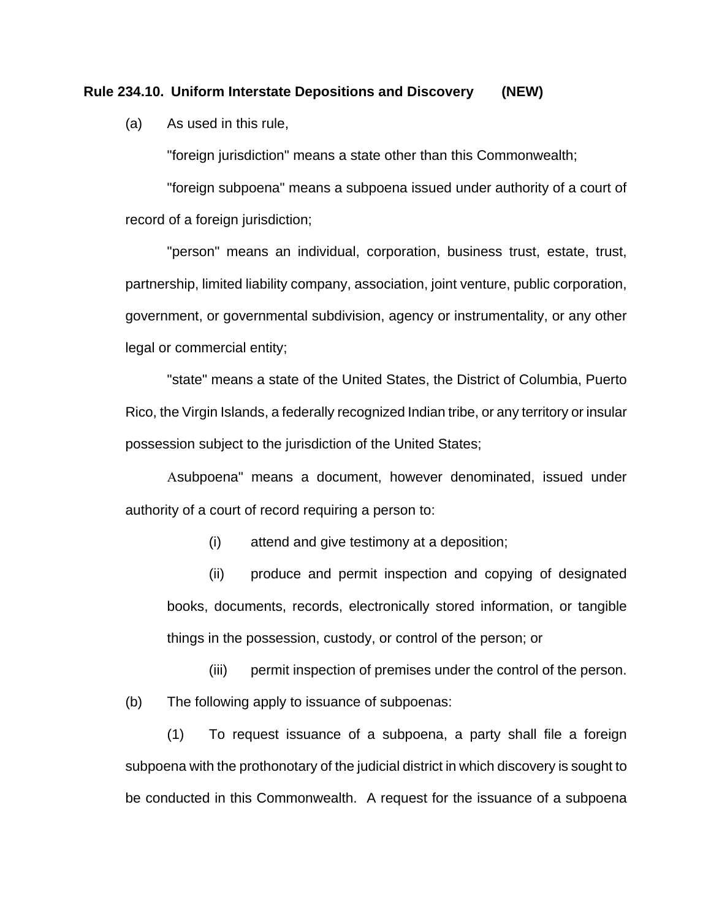#### **Rule 234.10. Uniform Interstate Depositions and Discovery (NEW)**

(a) As used in this rule,

"foreign jurisdiction" means a state other than this Commonwealth;

"foreign subpoena" means a subpoena issued under authority of a court of record of a foreign jurisdiction;

"person" means an individual, corporation, business trust, estate, trust, partnership, limited liability company, association, joint venture, public corporation, government, or governmental subdivision, agency or instrumentality, or any other legal or commercial entity;

"state" means a state of the United States, the District of Columbia, Puerto Rico, the Virgin Islands, a federally recognized Indian tribe, or any territory or insular possession subject to the jurisdiction of the United States;

Asubpoena" means a document, however denominated, issued under authority of a court of record requiring a person to:

(i) attend and give testimony at a deposition;

(ii) produce and permit inspection and copying of designated books, documents, records, electronically stored information, or tangible things in the possession, custody, or control of the person; or

(iii) permit inspection of premises under the control of the person. (b) The following apply to issuance of subpoenas:

(1) To request issuance of a subpoena, a party shall file a foreign subpoena with the prothonotary of the judicial district in which discovery is sought to be conducted in this Commonwealth. A request for the issuance of a subpoena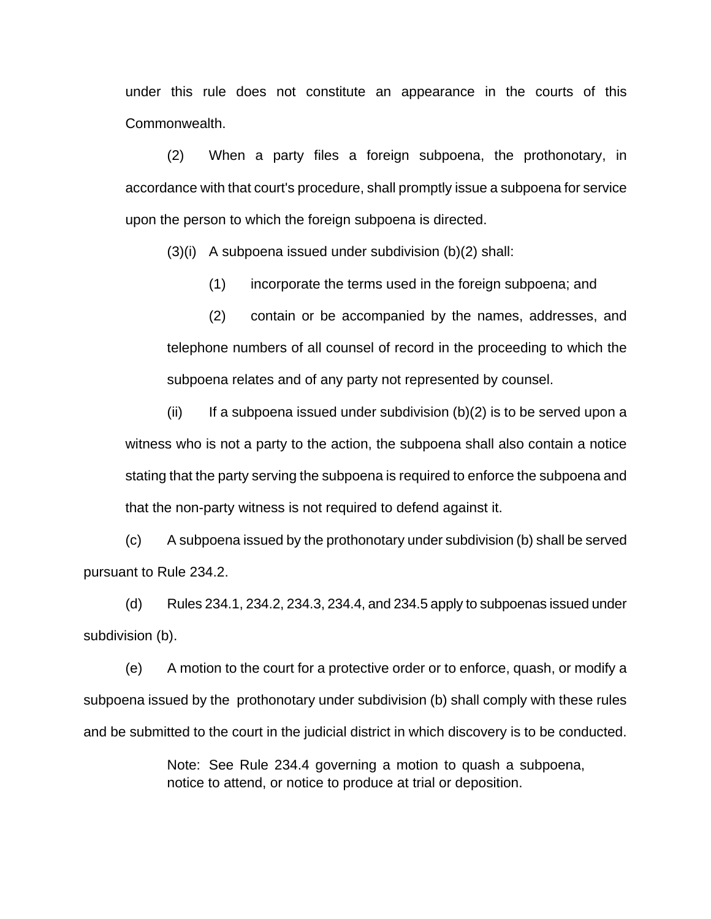under this rule does not constitute an appearance in the courts of this Commonwealth.

(2) When a party files a foreign subpoena, the prothonotary, in accordance with that court's procedure, shall promptly issue a subpoena for service upon the person to which the foreign subpoena is directed.

(3)(i) A subpoena issued under subdivision (b)(2) shall:

(1) incorporate the terms used in the foreign subpoena; and

(2) contain or be accompanied by the names, addresses, and telephone numbers of all counsel of record in the proceeding to which the subpoena relates and of any party not represented by counsel.

(ii) If a subpoena issued under subdivision  $(b)(2)$  is to be served upon a witness who is not a party to the action, the subpoena shall also contain a notice stating that the party serving the subpoena is required to enforce the subpoena and that the non-party witness is not required to defend against it.

(c) A subpoena issued by the prothonotary under subdivision (b) shall be served pursuant to Rule 234.2.

 $(d)$  Rules 234.1, 234.2, 234.3, 234.4, and 234.5 apply to subpoenas issued under subdivision (b).

(e) A motion to the court for a protective order or to enforce, quash, or modify a subpoena issued by the prothonotary under subdivision (b) shall comply with these rules and be submitted to the court in the judicial district in which discovery is to be conducted.

> Note: See Rule 234.4 governing a motion to quash a subpoena, notice to attend, or notice to produce at trial or deposition.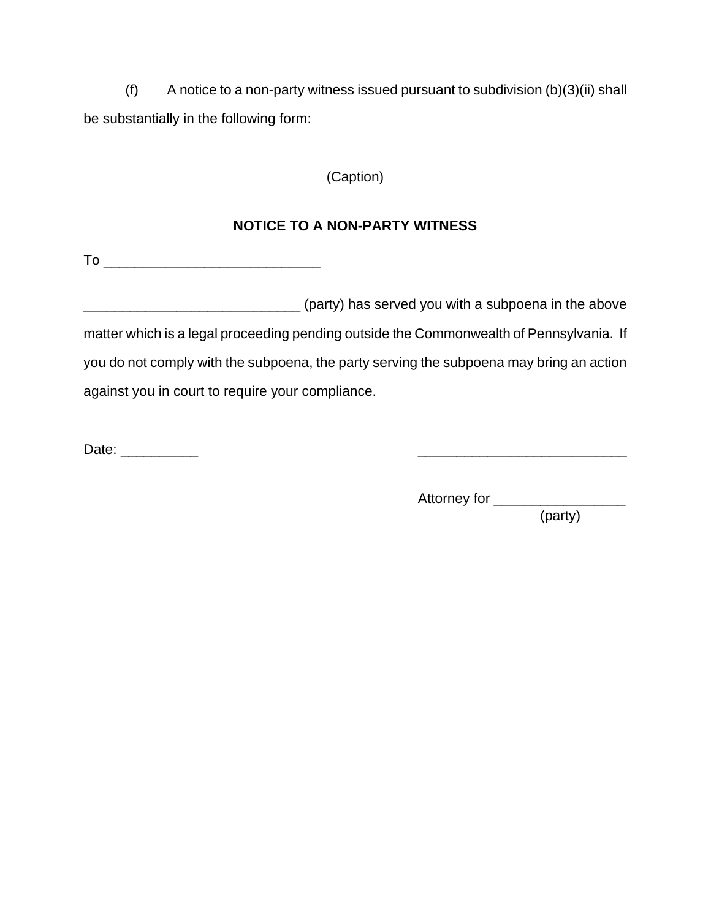(f) A notice to a non-party witness issued pursuant to subdivision  $(b)(3)(ii)$  shall be substantially in the following form:

(Caption)

### **NOTICE TO A NON-PARTY WITNESS**

To \_\_\_\_\_\_\_\_\_\_\_\_\_\_\_\_\_\_\_\_\_\_\_\_\_\_\_\_

\_\_\_\_\_\_\_\_\_\_\_\_\_\_\_\_\_\_\_\_\_\_\_\_\_\_\_\_ (party) has served you with a subpoena in the above matter which is a legal proceeding pending outside the Commonwealth of Pennsylvania. If you do not comply with the subpoena, the party serving the subpoena may bring an action against you in court to require your compliance.

Date: \_\_\_\_\_\_\_\_\_\_ \_\_\_\_\_\_\_\_\_\_\_\_\_\_\_\_\_\_\_\_\_\_\_\_\_\_\_

Attorney for \_\_\_\_\_\_\_\_\_\_\_\_\_\_\_\_\_

(party)